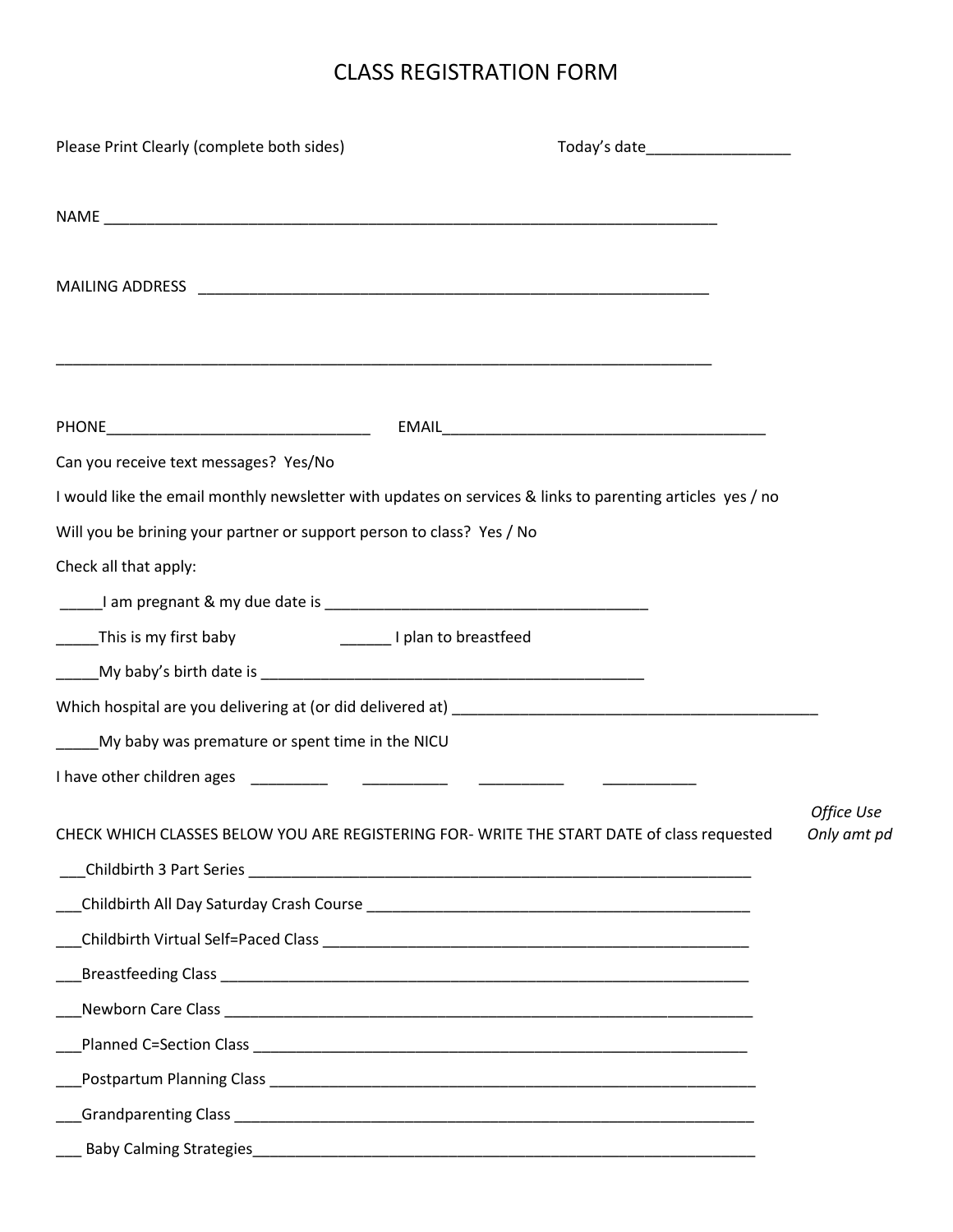## CLASS REGISTRATION FORM

| Please Print Clearly (complete both sides)                            | Today's date______________________                                                                                   |             |
|-----------------------------------------------------------------------|----------------------------------------------------------------------------------------------------------------------|-------------|
|                                                                       |                                                                                                                      |             |
|                                                                       |                                                                                                                      |             |
|                                                                       |                                                                                                                      |             |
|                                                                       |                                                                                                                      |             |
|                                                                       | <u> 1989 - Jan James James James James James James James James James James James James James James James James J</u> |             |
|                                                                       |                                                                                                                      |             |
| Can you receive text messages? Yes/No                                 |                                                                                                                      |             |
|                                                                       | I would like the email monthly newsletter with updates on services & links to parenting articles yes / no            |             |
| Will you be brining your partner or support person to class? Yes / No |                                                                                                                      |             |
| Check all that apply:                                                 |                                                                                                                      |             |
|                                                                       |                                                                                                                      |             |
|                                                                       |                                                                                                                      |             |
| $\frac{1}{1}$                                                         |                                                                                                                      |             |
|                                                                       |                                                                                                                      |             |
| My baby was premature or spent time in the NICU                       |                                                                                                                      |             |
|                                                                       |                                                                                                                      |             |
|                                                                       |                                                                                                                      | Office Use  |
|                                                                       | CHECK WHICH CLASSES BELOW YOU ARE REGISTERING FOR- WRITE THE START DATE of class requested                           | Only amt pd |
|                                                                       |                                                                                                                      |             |
|                                                                       |                                                                                                                      |             |
|                                                                       |                                                                                                                      |             |
|                                                                       |                                                                                                                      |             |
|                                                                       |                                                                                                                      |             |
|                                                                       |                                                                                                                      |             |
|                                                                       |                                                                                                                      |             |
|                                                                       |                                                                                                                      |             |
|                                                                       |                                                                                                                      |             |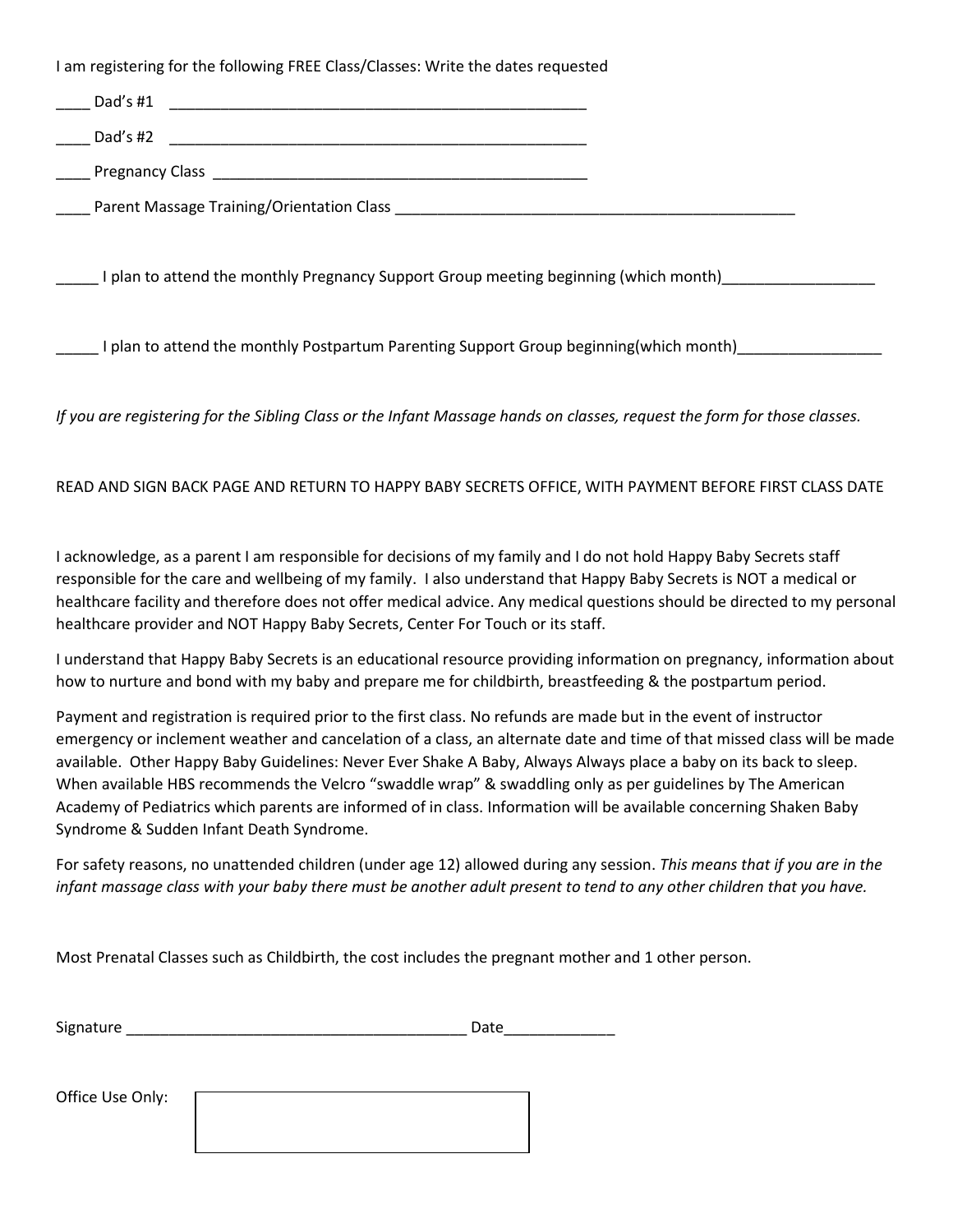I am registering for the following FREE Class/Classes: Write the dates requested

| Dad's #1<br>the control of the control of the control of the control of the control of the control of the control of the control of the control of the control of the control of the control of the control of the control of the control |  |
|-------------------------------------------------------------------------------------------------------------------------------------------------------------------------------------------------------------------------------------------|--|
| Dad's #2                                                                                                                                                                                                                                  |  |
|                                                                                                                                                                                                                                           |  |
| Lacken Parent Massage Training/Orientation Class Lacken Lacken Lacken and Parent Massage Training/Orientation Class                                                                                                                       |  |
|                                                                                                                                                                                                                                           |  |
| I plan to attend the monthly Pregnancy Support Group meeting beginning (which month)                                                                                                                                                      |  |
|                                                                                                                                                                                                                                           |  |
| I plan to attend the monthly Postpartum Parenting Support Group beginning(which month)                                                                                                                                                    |  |

*If you are registering for the Sibling Class or the Infant Massage hands on classes, request the form for those classes.* 

## READ AND SIGN BACK PAGE AND RETURN TO HAPPY BABY SECRETS OFFICE, WITH PAYMENT BEFORE FIRST CLASS DATE

I acknowledge, as a parent I am responsible for decisions of my family and I do not hold Happy Baby Secrets staff responsible for the care and wellbeing of my family. I also understand that Happy Baby Secrets is NOT a medical or healthcare facility and therefore does not offer medical advice. Any medical questions should be directed to my personal healthcare provider and NOT Happy Baby Secrets, Center For Touch or its staff.

I understand that Happy Baby Secrets is an educational resource providing information on pregnancy, information about how to nurture and bond with my baby and prepare me for childbirth, breastfeeding & the postpartum period.

Payment and registration is required prior to the first class. No refunds are made but in the event of instructor emergency or inclement weather and cancelation of a class, an alternate date and time of that missed class will be made available. Other Happy Baby Guidelines: Never Ever Shake A Baby, Always Always place a baby on its back to sleep. When available HBS recommends the Velcro "swaddle wrap" & swaddling only as per guidelines by The American Academy of Pediatrics which parents are informed of in class. Information will be available concerning Shaken Baby Syndrome & Sudden Infant Death Syndrome.

For safety reasons, no unattended children (under age 12) allowed during any session. *This means that if you are in the infant massage class with your baby there must be another adult present to tend to any other children that you have.*

Most Prenatal Classes such as Childbirth, the cost includes the pregnant mother and 1 other person.

| Signature<br>$ -$ |  |
|-------------------|--|
|-------------------|--|

Office Use Only: